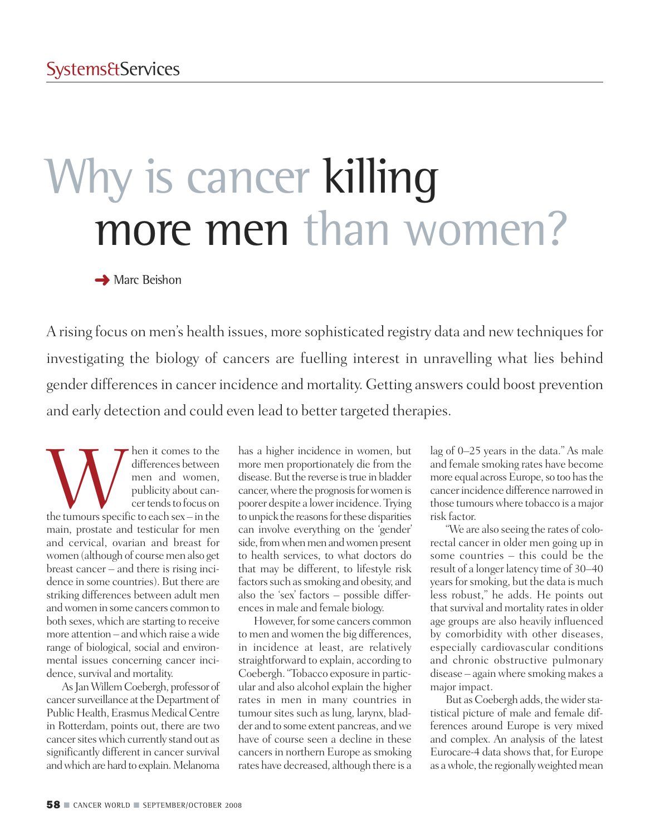# Why is cancer killing more men than women?

**→** Marc Beishon

A rising focus on men's health issues, more sophisticated registry data and new techniques for investigating the biology of cancers are fuelling interest in unravelling what lies behind gender differencesin cancer incidence and mortality. Getting answers could boost prevention and early detection and could even lead to better targeted therapies.

When it comes to the<br>
differences between<br>
men and women,<br>
publicity about can-<br>
cer tends to focus on<br>
the tumours specific to each sex – in the differences between men and women, publicity about cancer tends to focus on main, prostate and testicular for men and cervical, ovarian and breast for women (although of coursemen also get breast cancer – and there is rising incidence in some countries). But there are striking differences between adult men andwomen in some cancers common to both sexes, which are starting to receive more attention – andwhich raise awide range of biological, social and environmental issues concerning cancer incidence, survival and mortality.

As Jan Willem Coebergh, professor of cancer surveillance at the Department of Public Health, Erasmus Medical Centre in Rotterdam, points out, there are two cancer sites which currently stand out as significantly different in cancer survival and which are hard to explain. Melanoma

has a higher incidence in women, but more men proportionately die from the disease. But the reverse is true in bladder cancer, where the prognosis for women is poorer despite a lowerincidence. Trying to unpick the reasons for these disparities can involve everything on the 'gender' side, from when men and women present to health services, to what doctors do that may be different, to lifestyle risk factors such as smoking and obesity, and also the 'sex' factors – possible differencesin male and female biology.

However, for some cancers common to men and women the big differences, in incidence at least, are relatively straightforward to explain, according to Coebergh."Tobacco exposure in particular and also alcohol explain the higher rates in men in many countries in tumour sites such as lung, larynx, bladder and to some extent pancreas, andwe have of course seen a decline in these cancers in northern Europe as smoking rates have decreased, although there is a

lag of 0–25 years in the data." As male and female smoking rates have become more equal across Europe, so too has the cancerincidence difference narrowed in those tumours where tobacco is a major risk factor.

"We are also seeing the rates of colorectal cancer in older men going up in some countries – this could be the result of a longer latency time of 30–40 years for smoking, but the data is much less robust," he adds. He points out that survival and mortality rates in older age groups are also heavily influenced by comorbidity with other diseases, especially cardiovascular conditions and chronic obstructive pulmonary disease – again where smoking makes a major impact.

But as Coebergh adds, the wider statistical picture of male and female differences around Europe is very mixed and complex. An analysis of the latest Eurocare-4 data shows that, for Europe as a whole, the regionally weighted mean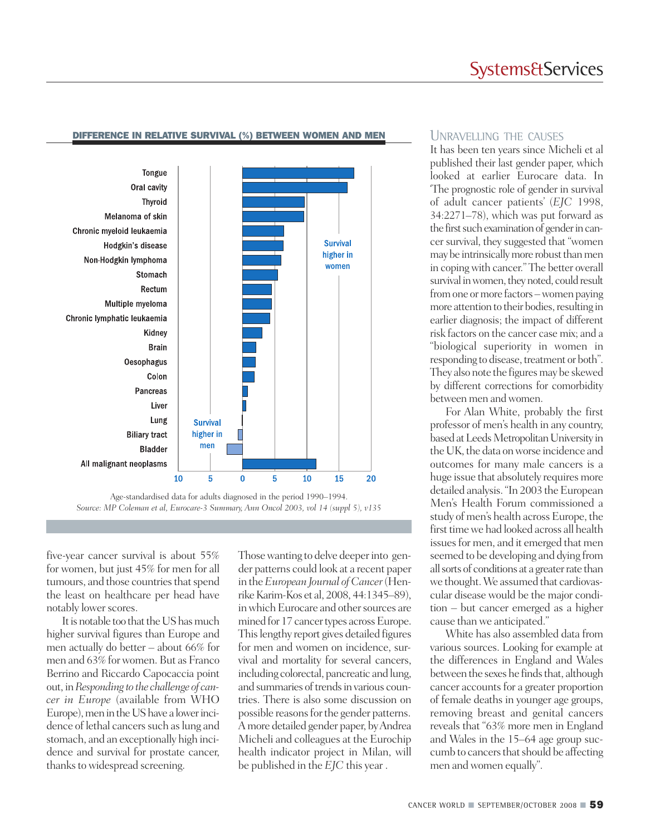## **Systems&Services**



### **DIFFERENCE IN RELATIVE SURVIVAL (%) BETWEEN WOMEN AND MEN** UNRAVELLING THE CAUSES

*Source: MP Coleman et al, Eurocare-3 Summary, Ann Oncol 2003, vol 14 (suppl 5), v135*

five-year cancer survival is about 55% for women, but just 45% for men for all tumours, and those countries that spend the least on healthcare per head have notably lower scores.

It is notable too that the US has much higher survival figures than Europe and men actually do better – about 66% for men and 63% forwomen. But as Franco Berrino and Riccardo Capocaccia point out, in*Responding to the challenge of cancer in Europe* (available from WHO Europe), men in the US have a lower incidence of lethal cancers such as lung and stomach, and an exceptionally high incidence and survival for prostate cancer, thanks to widespread screening.

Those wanting to delve deeper into gender patterns could look at a recent paper in the*European Journal of Cancer*(Henrike Karim-Kos et al, 2008, 44:1345–89), in which Eurocare and other sources are mined for 17 cancer types across Europe. Thislengthy report gives detailed figures for men and women on incidence, survival and mortality for several cancers, including colorectal, pancreatic and lung, and summaries of trends in various countries. There is also some discussion on possible reasons for the gender patterns. Amore detailed gender paper, byAndrea Micheli and colleagues at the Eurochip health indicator project in Milan, will be published in the *EJC* this year .

It has been ten years since Micheli et al published their last gender paper, which looked at earlier Eurocare data. In 'The prognostic role of gender in survival of adult cancer patients' (*EJC* 1998, 34:2271–78), which was put forward as the first such examination of gender in cancer survival, they suggested that "women may be intrinsically more robust than men in copingwith cancer." The better overall survival in women, they noted, could result fromone ormore factors –women paying more attention to their bodies, resulting in earlier diagnosis; the impact of different risk factors on the cancer case mix; and a "biological superiority in women in responding to disease, treatment or both". They also note the figures may be skewed by different corrections for comorbidity between men andwomen.

For Alan White, probably the first professor of men's health in any country, based at Leeds Metropolitan University in the UK, the data on worse incidence and outcomes for many male cancers is a huge issue that absolutely requires more detailed analysis. "In 2003 the European Men's Health Forum commissioned a study of men's health across Europe, the first time we had looked across all health issues for men, and it emerged that men seemed to be developing and dying from allsorts of conditions at a greaterrate than we thought.We assumed that cardiovascular disease would be the major condition – but cancer emerged as a higher cause than we anticipated."

White has also assembled data from various sources. Looking for example at the differences in England and Wales between the sexes he finds that, although cancer accounts for a greater proportion of female deaths in younger age groups, removing breast and genital cancers reveals that "63% more men in England and Wales in the 15–64 age group succumb to cancers that should be affecting men andwomen equally".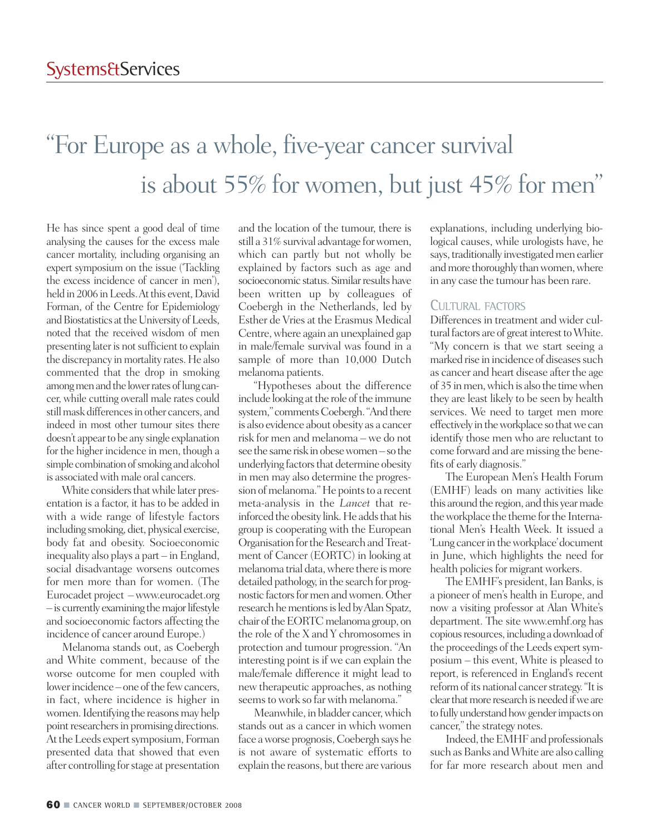## "For Europe as a whole, five-year cancer survival is about 55% for women, but just 45% for men "

He has since spent a good deal of time analysing the causes for the excess male cancer mortality, including organising an expert symposium on the issue ('Tackling the excess incidence of cancer in men'), held in 2006 in Leeds. At this event, David Forman, of the Centre for Epidemiology and Biostatistics at the University of Leeds, noted that the received wisdom of men presenting later is not sufficient to explain the discrepancy in mortality rates. He also commented that the drop in smoking among men and the lower rates of lung cancer, while cutting overall male rates could still mask differences in other cancers, and indeed in most other tumour sites there doesn't appearto be any single explanation for the higher incidence in men, though a simple combination of smoking and alcohol is associated with male oral cancers.

White considers that while later presentation is a factor, it has to be added in with a wide range of lifestyle factors including smoking, diet, physical exercise, body fat and obesity. Socioeconomic inequality also plays a part – in England, social disadvantage worsens outcomes for men more than for women. (The Eurocadet project –www.eurocadet.org  $-$  is currently examining the major lifestyle and socioeconomic factors affecting the incidence of cancer around Europe.)

Melanoma stands out, as Coebergh and White comment, because of the worse outcome for men coupled with lower incidence – one of the few cancers, in fact, where incidence is higher in women. Identifying the reasons may help point researchers in promising directions. At the Leeds expert symposium, Forman presented data that showed that even after controlling forstage at presentation

and the location of the tumour, there is still a 31% survival advantage for women, which can partly but not wholly be explained by factors such as age and socioeconomic status. Similar results have been written up by colleagues of Coebergh in the Netherlands, led by Esther de Vries at the Erasmus Medical Centre, where again an unexplained gap in male/female survival was found in a sample of more than 10,000 Dutch melanoma patients.

"Hypotheses about the difference include looking at the role of the immune system," comments Coebergh. "And there is also evidence about obesity as a cancer risk for men and melanoma – we do not see the same risk in obese women – so the underlying factors that determine obesity in men may also determine the progression of melanoma." He points to a recent meta-analysis in the *Lancet* that reinforced the obesity link. He adds that his group is cooperating with the European Organisation for the Research and Treatment of Cancer (EORTC) in looking at melanoma trial data, where there is more detailed pathology, in the search for prognostic factors for men and women. Other research he mentions is led by Alan Spatz, chair of the EORTC melanoma group, on the role of the X and Y chromosomes in protection and tumour progression. "An interesting point is if we can explain the male/female difference it might lead to new therapeutic approaches, as nothing seems to work so far with melanoma."

Meanwhile, in bladder cancer, which stands out as a cancer in which women face aworse prognosis,Coebergh says he is not aware of systematic efforts to explain the reasons, but there are various

explanations, including underlying biological causes, while urologists have, he says, traditionally investigated men earlier and more thoroughly than women, where in any case the tumour has been rare.

## CULTURAL FACTORS

Differences in treatment and wider cultural factors are of great interest to White. "My concern is that we start seeing a marked rise in incidence of diseases such as cancer and heart disease after the age of 35 inmen,whichis also the timewhen they are least likely to be seen by health services. We need to target men more effectively in the workplace so that we can identify those men who are reluctant to come forward and are missing the benefits of early diagnosis."

The European Men's Health Forum (EMHF) leads on many activities like this around the region, and this year made the workplace the theme for the International Men's Health Week. It issued a 'Lung cancer in the workplace' document in June, which highlights the need for health policies for migrant workers.

The EMHF's president, Ian Banks, is a pioneer of men's health in Europe, and now a visiting professor at Alan White's department. The site www.emhf.org has copious resources, including a download of the proceedings of the Leeds expert symposium – this event, White is pleased to report, is referenced in England's recent reform of its national cancer strategy. "It is clear that more research is needed if we are to fully understand how gender impacts on cancer," the strategy notes.

Indeed, the EMHF and professionals such as Banks and White are also calling for far more research about men and